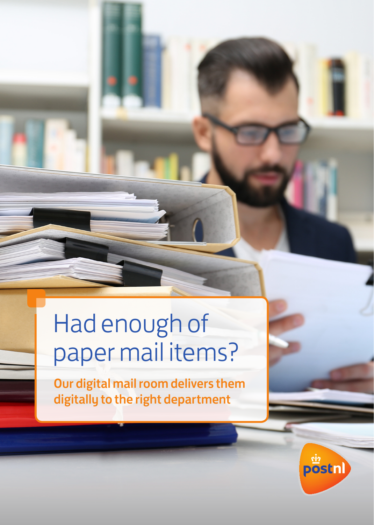# Had enough of paper mail items?

Our digital mail room delivers them digitally to the right department